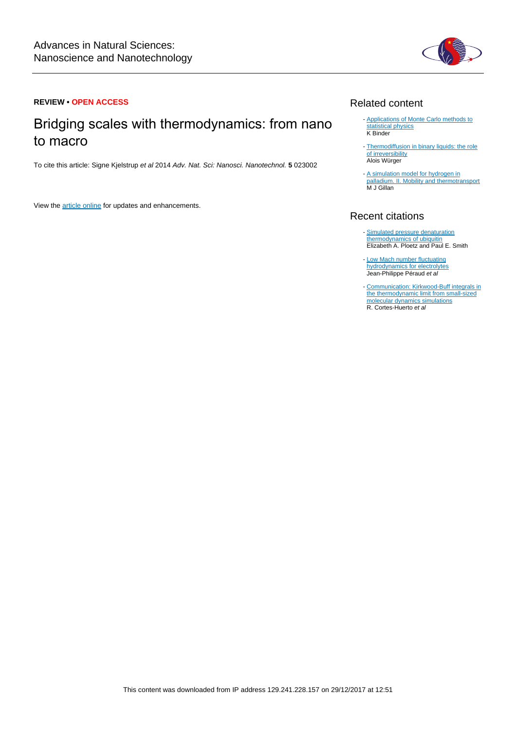

### **REVIEW • OPEN ACCESS**

# Bridging scales with thermodynamics: from nano to macro

To cite this article: Signe Kjelstrup et al 2014 Adv. Nat. Sci: Nanosci. Nanotechnol. **5** 023002

View the [article online](https://doi.org/10.1088/2043-6262/5/2/023002) for updates and enhancements.

# Related content

- [Applications of Monte Carlo methods to](http://iopscience.iop.org/article/10.1088/0034-4885/60/5/001) [statistical physics](http://iopscience.iop.org/article/10.1088/0034-4885/60/5/001) K Binder
- [Thermodiffusion in binary liquids: the role](http://iopscience.iop.org/article/10.1088/0953-8984/26/3/035105) [of irreversibility](http://iopscience.iop.org/article/10.1088/0953-8984/26/3/035105) Alois Würger
- [A simulation model for hydrogen in](http://iopscience.iop.org/article/10.1088/0022-3719/20/4/005) [palladium. II. Mobility and thermotransport](http://iopscience.iop.org/article/10.1088/0022-3719/20/4/005) M J Gillan

# Recent citations

- [Simulated pressure denaturation](http://dx.doi.org/10.1016/j.bpc.2017.04.006) [thermodynamics of ubiquitin](http://dx.doi.org/10.1016/j.bpc.2017.04.006) Elizabeth A. Ploetz and Paul E. Smith
- [Low Mach number fluctuating](http://dx.doi.org/10.1103/PhysRevFluids.1.074103) [hydrodynamics for electrolytes](http://dx.doi.org/10.1103/PhysRevFluids.1.074103)<br>Jean-Philippe Péraud *et al*
- [Communication: Kirkwood-Buff integrals in](http://dx.doi.org/10.1063/1.4964779) [the thermodynamic limit from small-sized](http://dx.doi.org/10.1063/1.4964779) [molecular dynamics simulations](http://dx.doi.org/10.1063/1.4964779)<br>R. Cortes-Huerto *et al*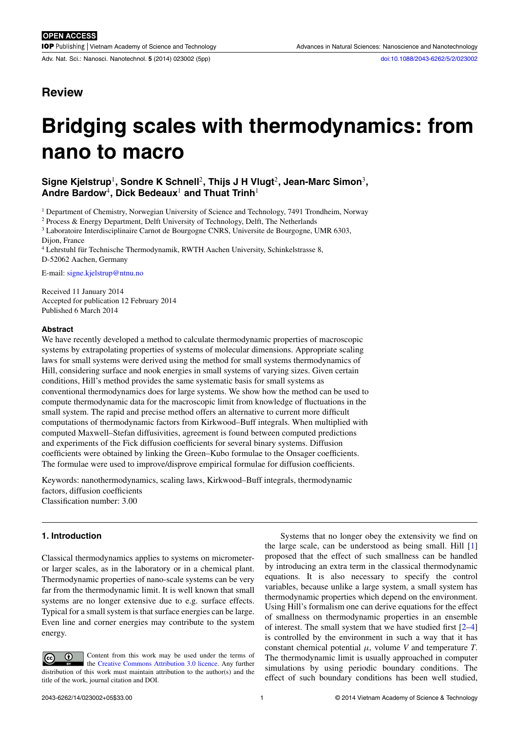Adv. Nat. Sci.: Nanosci. Nanotechnol. **5** (2014) 023002 (5pp) [doi:10.1088/2043-6262/5/2/023002](http://dx.doi.org/10.1088/2043-6262/5/2/023002)

# **Review**

# **Bridging scales with thermodynamics: from nano to macro**

## **Signe Kjelstrup**<sup>1</sup> **, Sondre K Schnell**<sup>2</sup> **, Thijs J H Vlugt**<sup>2</sup> **, Jean-Marc Simon**<sup>3</sup> **, Andre Bardow**<sup>4</sup> **, Dick Bedeaux**<sup>1</sup> **and Thuat Trinh**<sup>1</sup>

<sup>1</sup> Department of Chemistry, Norwegian University of Science and Technology, 7491 Trondheim, Norway

<sup>2</sup> Process & Energy Department, Delft University of Technology, Delft, The Netherlands

<sup>3</sup> Laboratoire Interdisciplinaire Carnot de Bourgogne CNRS, Universite de Bourgogne, UMR 6303, Dijon, France

<sup>4</sup> Lehrstuhl für Technische Thermodynamik, RWTH Aachen University, Schinkelstrasse 8, D-52062 Aachen, Germany

E-mail: [signe.kjelstrup@ntnu.no](mailto:signe.kjelstrup@ntnu.no)

Received 11 January 2014 Accepted for publication 12 February 2014 Published 6 March 2014

#### **Abstract**

We have recently developed a method to calculate thermodynamic properties of macroscopic systems by extrapolating properties of systems of molecular dimensions. Appropriate scaling laws for small systems were derived using the method for small systems thermodynamics of Hill, considering surface and nook energies in small systems of varying sizes. Given certain conditions, Hill's method provides the same systematic basis for small systems as conventional thermodynamics does for large systems. We show how the method can be used to compute thermodynamic data for the macroscopic limit from knowledge of fluctuations in the small system. The rapid and precise method offers an alternative to current more difficult computations of thermodynamic factors from Kirkwood–Buff integrals. When multiplied with computed Maxwell–Stefan diffusivities, agreement is found between computed predictions and experiments of the Fick diffusion coefficients for several binary systems. Diffusion coefficients were obtained by linking the Green–Kubo formulae to the Onsager coefficients. The formulae were used to improve/disprove empirical formulae for diffusion coefficients.

Keywords: nanothermodynamics, scaling laws, Kirkwood–Buff integrals, thermodynamic factors, diffusion coefficients Classification number: 3.00

#### **1. Introduction**

Classical thermodynamics applies to systems on micrometeror larger scales, as in the laboratory or in a chemical plant. Thermodynamic properties of nano-scale systems can be very far from the thermodynamic limit. It is well known that small systems are no longer extensive due to e.g. surface effects. Typical for a small system is that surface energies can be large. Even line and corner energies may contribute to the system energy.

Content from this work may be used under the terms of  $\left( \mathrm{cc} \right)$ the [Creative Commons Attribution 3.0 licence.](http://creativecommons.org/licenses/by/3.0) Any further distribution of this work must maintain attribution to the author(s) and the title of the work, journal citation and DOI.

Systems that no longer obey the extensivity we find on the large scale, can be understood as being small. Hill [\[1\]](#page-5-0) proposed that the effect of such smallness can be handled by introducing an extra term in the classical thermodynamic equations. It is also necessary to specify the control variables, because unlike a large system, a small system has thermodynamic properties which depend on the environment. Using Hill's formalism one can derive equations for the effect of smallness on thermodynamic properties in an ensemble of interest. The small system that we have studied first [\[2–4\]](#page-5-0) is controlled by the environment in such a way that it has constant chemical potential  $\mu$ , volume *V* and temperature *T*. The thermodynamic limit is usually approached in computer simulations by using periodic boundary conditions. The effect of such boundary conditions has been well studied,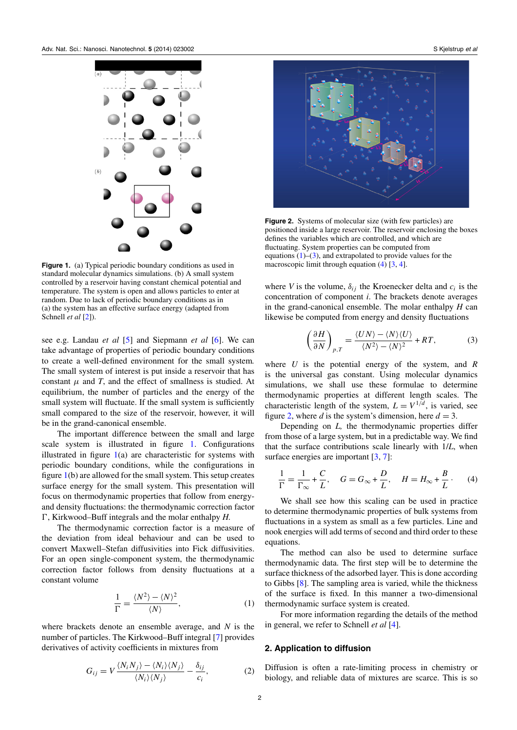<span id="page-2-0"></span>

**Figure 1.** (a) Typical periodic boundary conditions as used in standard molecular dynamics simulations. (b) A small system controlled by a reservoir having constant chemical potential and temperature. The system is open and allows particles to enter at random. Due to lack of periodic boundary conditions as in (a) the system has an effective surface energy (adapted from Schnell *et al* [\[2\]](#page-5-0)).

see e.g. Landau *et al* [\[5\]](#page-5-0) and Siepmann *et al* [\[6\]](#page-5-0). We can take advantage of properties of periodic boundary conditions to create a well-defined environment for the small system*.* The small system of interest is put inside a reservoir that has constant  $\mu$  and  $T$ , and the effect of smallness is studied. At equilibrium, the number of particles and the energy of the small system will fluctuate. If the small system is sufficiently small compared to the size of the reservoir, however, it will be in the grand-canonical ensemble.

The important difference between the small and large scale system is illustrated in figure 1. Configurations illustrated in figure 1(a) are characteristic for systems with periodic boundary conditions, while the configurations in figure 1(b) are allowed for the small system. This setup creates surface energy for the small system. This presentation will focus on thermodynamic properties that follow from energyand density fluctuations: the thermodynamic correction factor  $\Gamma$ , Kirkwood–Buff integrals and the molar enthalpy *H*.

The thermodynamic correction factor is a measure of the deviation from ideal behaviour and can be used to convert Maxwell–Stefan diffusivities into Fick diffusivities. For an open single-component system, the thermodynamic correction factor follows from density fluctuations at a constant volume

$$
\frac{1}{\Gamma} = \frac{\langle N^2 \rangle - \langle N \rangle^2}{\langle N \rangle},\tag{1}
$$

where brackets denote an ensemble average, and *N* is the number of particles. The Kirkwood–Buff integral [\[7\]](#page-5-0) provides derivatives of activity coefficients in mixtures from

$$
G_{ij} = V \frac{\langle N_i N_j \rangle - \langle N_i \rangle \langle N_j \rangle}{\langle N_i \rangle \langle N_j \rangle} - \frac{\delta_{ij}}{c_i},
$$
 (2)



**Figure 2.** Systems of molecular size (with few particles) are positioned inside a large reservoir. The reservoir enclosing the boxes defines the variables which are controlled, and which are fluctuating. System properties can be computed from equations  $(1)$ – $(3)$ , and extrapolated to provide values for the macroscopic limit through equation (4) [\[3,](#page-5-0) [4\]](#page-5-0).

where *V* is the volume,  $\delta_{ij}$  the Kroenecker delta and  $c_i$  is the concentration of component *i*. The brackets denote averages in the grand-canonical ensemble. The molar enthalpy *H* can likewise be computed from energy and density fluctuations

$$
\left(\frac{\partial H}{\partial N}\right)_{p,T} = \frac{\langle UN \rangle - \langle N \rangle \langle U \rangle}{\langle N^2 \rangle - \langle N \rangle^2} + RT,\tag{3}
$$

where *U* is the potential energy of the system, and *R* is the universal gas constant. Using molecular dynamics simulations, we shall use these formulae to determine thermodynamic properties at different length scales. The characteristic length of the system,  $L = V^{1/d}$ , is varied, see figure 2, where *d* is the system's dimension, here  $d = 3$ .

Depending on *L,* the thermodynamic properties differ from those of a large system, but in a predictable way. We find that the surface contributions scale linearly with 1/*L*, when surface energies are important [\[3,](#page-5-0) [7\]](#page-5-0):

$$
\frac{1}{\Gamma} = \frac{1}{\Gamma_{\infty}} + \frac{C}{L}, \quad G = G_{\infty} + \frac{D}{L}, \quad H = H_{\infty} + \frac{B}{L}.
$$
 (4)

We shall see how this scaling can be used in practice to determine thermodynamic properties of bulk systems from fluctuations in a system as small as a few particles. Line and nook energies will add terms of second and third order to these equations.

The method can also be used to determine surface thermodynamic data. The first step will be to determine the surface thickness of the adsorbed layer. This is done according to Gibbs [\[8\]](#page-5-0). The sampling area is varied, while the thickness of the surface is fixed. In this manner a two-dimensional thermodynamic surface system is created.

For more information regarding the details of the method in general, we refer to Schnell *et al* [\[4\]](#page-5-0).

#### **2. Application to diffusion**

Diffusion is often a rate-limiting process in chemistry or biology, and reliable data of mixtures are scarce. This is so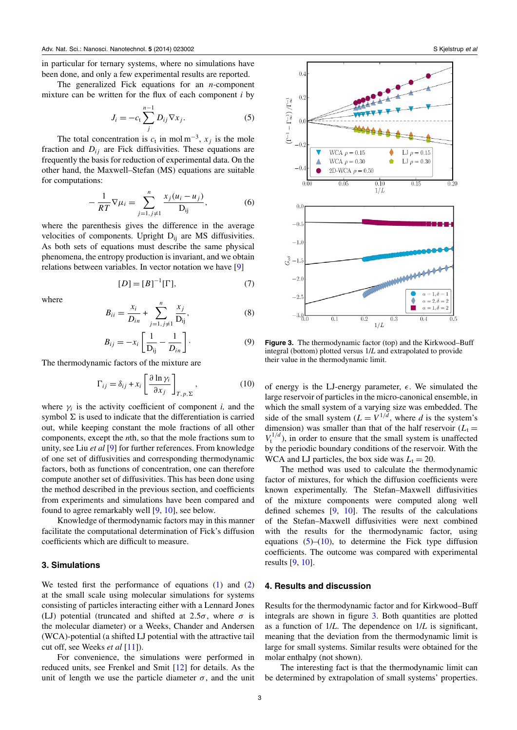<span id="page-3-0"></span>in particular for ternary systems, where no simulations have been done, and only a few experimental results are reported.

The generalized Fick equations for an *n-*component mixture can be written for the flux of each component *i* by

$$
J_i = -c_t \sum_j^{n-1} D_{ij} \nabla x_j.
$$
 (5)

The total concentration is  $c_t$  in mol m<sup>-3</sup>,  $x_j$  is the mole fraction and  $D_{ij}$  are Fick diffusivities. These equations are frequently the basis for reduction of experimental data. On the other hand, the Maxwell–Stefan (MS) equations are suitable for computations:

$$
-\frac{1}{RT}\nabla\mu_i = \sum_{j=1, j\neq 1}^n \frac{x_j(u_i - u_j)}{D_{ij}},
$$
 (6)

where the parenthesis gives the difference in the average velocities of components. Upright  $D_{ii}$  are MS diffusivities. As both sets of equations must describe the same physical phenomena, the entropy production is invariant, and we obtain relations between variables. In vector notation we have [\[9\]](#page-5-0)

$$
[D] = [B]^{-1}[\Gamma],
$$
 (7)

where

$$
B_{ii} = \frac{x_i}{D_{in}} + \sum_{j=1, j \neq 1}^{n} \frac{x_j}{D_{ij}},
$$
 (8)

$$
B_{ij} = -x_i \left[ \frac{1}{D_{ij}} - \frac{1}{D_{in}} \right].
$$
 (9)

The thermodynamic factors of the mixture are

$$
\Gamma_{ij} = \delta_{ij} + x_i \left[ \frac{\partial \ln \gamma_i}{\partial x_j} \right]_{T, p, \Sigma}, \qquad (10)
$$

where  $\gamma_i$  is the activity coefficient of component *i*, and the symbol  $\Sigma$  is used to indicate that the differentiation is carried out, while keeping constant the mole fractions of all other components, except the *n*th, so that the mole fractions sum to unity, see Liu *et al* [\[9\]](#page-5-0) for further references. From knowledge of one set of diffusivities and corresponding thermodynamic factors, both as functions of concentration, one can therefore compute another set of diffusivities. This has been done using the method described in the previous section, and coefficients from experiments and simulations have been compared and found to agree remarkably well [\[9,](#page-5-0) [10\]](#page-5-0), see below.

Knowledge of thermodynamic factors may in this manner facilitate the computational determination of Fick's diffusion coefficients which are difficult to measure.

#### **3. Simulations**

We tested first the performance of equations  $(1)$  and  $(2)$ at the small scale using molecular simulations for systems consisting of particles interacting either with a Lennard Jones (LJ) potential (truncated and shifted at  $2.5\sigma$ , where  $\sigma$  is the molecular diameter) or a Weeks, Chander and Andersen (WCA)-potential (a shifted LJ potential with the attractive tail cut off, see Weeks *et al* [\[11\]](#page-5-0)).

For convenience, the simulations were performed in reduced units, see Frenkel and Smit [\[12\]](#page-5-0) for details. As the unit of length we use the particle diameter  $\sigma$ , and the unit





**Figure 3.** The thermodynamic factor (top) and the Kirkwood–Buff integral (bottom) plotted versus 1/*L* and extrapolated to provide their value in the thermodynamic limit.

of energy is the LJ-energy parameter,  $\epsilon$ . We simulated the large reservoir of particles in the micro-canonical ensemble, in which the small system of a varying size was embedded. The side of the small system  $(L = V^{1/d})$ , where *d* is the system's dimension) was smaller than that of the half reservoir  $(L_t =$  $V_t^{1/d}$ ), in order to ensure that the small system is unaffected by the periodic boundary conditions of the reservoir. With the WCA and LJ particles, the box side was  $L_t = 20$ .

The method was used to calculate the thermodynamic factor of mixtures, for which the diffusion coefficients were known experimentally. The Stefan–Maxwell diffusivities of the mixture components were computed along well defined schemes [\[9,](#page-5-0) [10\]](#page-5-0). The results of the calculations of the Stefan–Maxwell diffusivities were next combined with the results for the thermodynamic factor, using equations  $(5)$ – $(10)$ , to determine the Fick type diffusion coefficients. The outcome was compared with experimental results [\[9,](#page-5-0) [10\]](#page-5-0).

#### **4. Results and discussion**

Results for the thermodynamic factor and for Kirkwood–Buff integrals are shown in figure 3. Both quantities are plotted as a function of 1/*L*. The dependence on 1/*L* is significant, meaning that the deviation from the thermodynamic limit is large for small systems. Similar results were obtained for the molar enthalpy (not shown).

The interesting fact is that the thermodynamic limit can be determined by extrapolation of small systems' properties.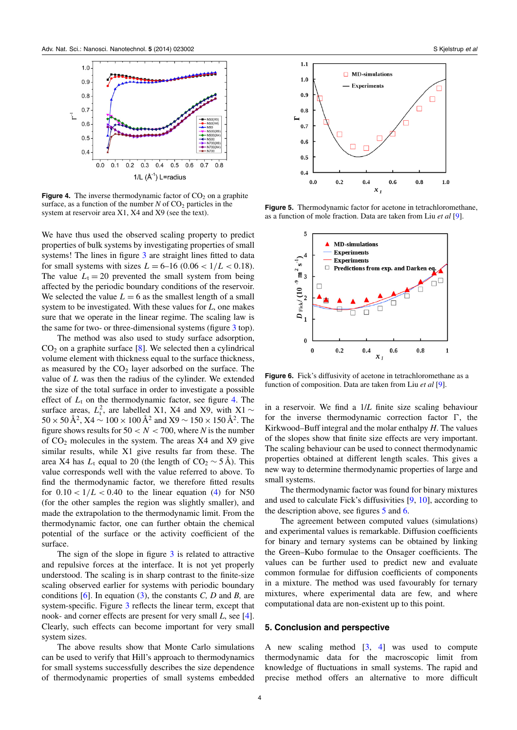

**Figure 4.** The inverse thermodynamic factor of  $CO<sub>2</sub>$  on a graphite surface, as a function of the number  $N$  of  $CO<sub>2</sub>$  particles in the system at reservoir area X1, X4 and X9 (see the text).

We have thus used the observed scaling property to predict properties of bulk systems by investigating properties of small systems! The lines in figure [3](#page-3-0) are straight lines fitted to data for small systems with sizes  $L = 6-16$  (0.06 <  $1/L < 0.18$ ). The value  $L_t = 20$  prevented the small system from being affected by the periodic boundary conditions of the reservoir. We selected the value  $L = 6$  as the smallest length of a small system to be investigated. With these values for *L*, one makes sure that we operate in the linear regime. The scaling law is the same for two- or three-dimensional systems (figure [3](#page-3-0) top).

The method was also used to study surface adsorption,  $CO<sub>2</sub>$  on a graphite surface [\[8\]](#page-5-0). We selected then a cylindrical volume element with thickness equal to the surface thickness, as measured by the  $CO<sub>2</sub>$  layer adsorbed on the surface. The value of *L* was then the radius of the cylinder. We extended the size of the total surface in order to investigate a possible effect of  $L_t$  on the thermodynamic factor, see figure 4. The surface areas,  $L_t^2$ , are labelled X1, X4 and X9, with X1 ∼  $50 \times 50 \,\text{\AA}^2$ ,  $\text{X4} \sim 100 \times 100 \,\text{\AA}^2$  and  $\text{X9} \sim 150 \times 150 \,\text{\AA}^2$ . The figure shows results for  $50 < N < 700$ , where *N* is the number of  $CO<sub>2</sub>$  molecules in the system. The areas X4 and X9 give similar results, while X1 give results far from these. The area X4 has  $L_t$  equal to 20 (the length of CO<sub>2</sub>  $\sim$  5 Å). This value corresponds well with the value referred to above. To find the thermodynamic factor, we therefore fitted results for  $0.10 < 1/L < 0.40$  to the linear equation [\(4\)](#page-2-0) for N50 (for the other samples the region was slightly smaller), and made the extrapolation to the thermodynamic limit. From the thermodynamic factor, one can further obtain the chemical potential of the surface or the activity coefficient of the surface.

The sign of the slope in figure [3](#page-3-0) is related to attractive and repulsive forces at the interface. It is not yet properly understood. The scaling is in sharp contrast to the finite-size scaling observed earlier for systems with periodic boundary conditions [\[6\]](#page-5-0). In equation [\(3\)](#page-2-0), the constants *C, D* and *B,* are system-specific. Figure [3](#page-3-0) reflects the linear term, except that nook- and corner effects are present for very small *L*, see [\[4\]](#page-5-0). Clearly, such effects can become important for very small system sizes.

The above results show that Monte Carlo simulations can be used to verify that Hill's approach to thermodynamics for small systems successfully describes the size dependence of thermodynamic properties of small systems embedded



**Figure 5.** Thermodynamic factor for acetone in tetrachloromethane, as a function of mole fraction. Data are taken from Liu *et al* [\[9\]](#page-5-0).



**Figure 6.** Fick's diffusivity of acetone in tetrachloromethane as a function of composition. Data are taken from Liu *et al* [\[9\]](#page-5-0).

in a reservoir. We find a 1/*L* finite size scaling behaviour for the inverse thermodynamic correction factor  $\Gamma$ , the Kirkwood–Buff integral and the molar enthalpy *H*. The values of the slopes show that finite size effects are very important. The scaling behaviour can be used to connect thermodynamic properties obtained at different length scales. This gives a new way to determine thermodynamic properties of large and small systems.

The thermodynamic factor was found for binary mixtures and used to calculate Fick's diffusivities [\[9,](#page-5-0) [10\]](#page-5-0), according to the description above, see figures 5 and 6.

The agreement between computed values (simulations) and experimental values is remarkable. Diffusion coefficients for binary and ternary systems can be obtained by linking the Green–Kubo formulae to the Onsager coefficients. The values can be further used to predict new and evaluate common formulae for diffusion coefficients of components in a mixture. The method was used favourably for ternary mixtures, where experimental data are few, and where computational data are non-existent up to this point.

#### **5. Conclusion and perspective**

A new scaling method  $[3, 4]$  $[3, 4]$  $[3, 4]$  was used to compute thermodynamic data for the macroscopic limit from knowledge of fluctuations in small systems. The rapid and precise method offers an alternative to more difficult